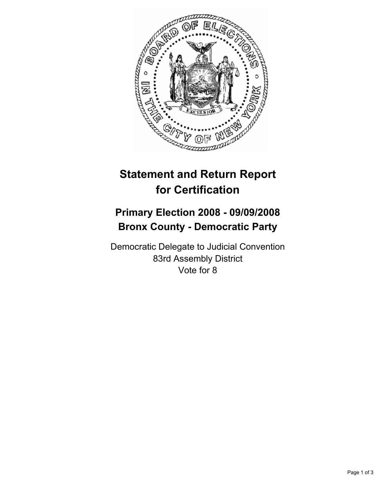

## **Statement and Return Report for Certification**

## **Primary Election 2008 - 09/09/2008 Bronx County - Democratic Party**

Democratic Delegate to Judicial Convention 83rd Assembly District Vote for 8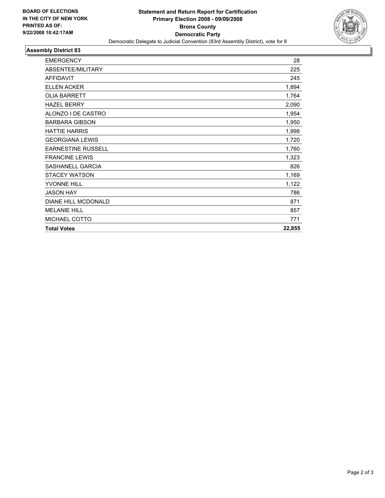

## **Assembly District 83**

| <b>EMERGENCY</b>          | 28     |
|---------------------------|--------|
| ABSENTEE/MILITARY         | 225    |
| <b>AFFIDAVIT</b>          | 245    |
| <b>ELLEN ACKER</b>        | 1,894  |
| <b>OLIA BARRETT</b>       | 1,764  |
| <b>HAZEL BERRY</b>        | 2,090  |
| ALONZO I DE CASTRO        | 1,954  |
| <b>BARBARA GIBSON</b>     | 1,950  |
| <b>HATTIE HARRIS</b>      | 1,998  |
| <b>GEORGIANA LEWIS</b>    | 1,720  |
| <b>EARNESTINE RUSSELL</b> | 1,760  |
| <b>FRANCINE LEWIS</b>     | 1,323  |
| SASHANELL GARCIA          | 826    |
| <b>STACEY WATSON</b>      | 1,169  |
| <b>YVONNE HILL</b>        | 1,122  |
| <b>JASON HAY</b>          | 786    |
| DIANE HILL MCDONALD       | 871    |
| <b>MELANIE HILL</b>       | 857    |
| MICHAEL COTTO             | 771    |
| <b>Total Votes</b>        | 22,855 |